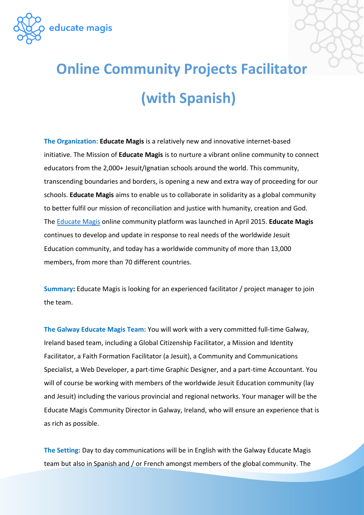

## **Online Community Projects Facilitator (with Spanish)**

**The Organization: Educate Magis** is a relatively new and innovative internet-based initiative. The Mission of **Educate Magis** is to nurture a vibrant online community to connect educators from the 2,000+ Jesuit/Ignatian schools around the world. This community, transcending boundaries and borders, is opening a new and extra way of proceeding for our schools. **Educate Magis** aims to enable us to collaborate in solidarity as a global community to better fulfil our mission of reconciliation and justice with humanity, creation and God. The [Educate Magis](http://www.educatemagis.org/) online community platform was launched in April 2015. **Educate Magis** continues to develop and update in response to real needs of the worldwide Jesuit Education community, and today has a worldwide community of more than 13,000 members, from more than 70 different countries.

**Summary:** Educate Magis is looking for an experienced facilitator / project manager to join the team.

**The Galway Educate Magis Team:** You will work with a very committed full-time Galway, Ireland based team, including a Global Citizenship Facilitator, a Mission and Identity Facilitator, a Faith Formation Facilitator (a Jesuit), a Community and Communications Specialist, a Web Developer, a part-time Graphic Designer, and a part-time Accountant. You will of course be working with members of the worldwide Jesuit Education community (lay and Jesuit) including the various provincial and regional networks. Your manager will be the Educate Magis Community Director in Galway, Ireland, who will ensure an experience that is as rich as possible.

**The Setting:** Day to day communications will be in English with the Galway Educate Magis team but also in Spanish and / or French amongst members of the global community. The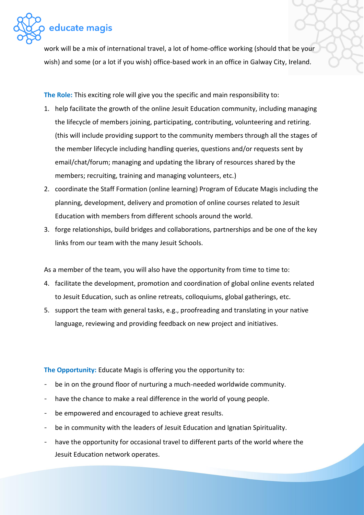

work will be a mix of international travel, a lot of home-office working (should that be your wish) and some (or a lot if you wish) office-based work in an office in Galway City, Ireland.

**The Role:** This exciting role will give you the specific and main responsibility to:

- 1. help facilitate the growth of the online Jesuit Education community, including managing the lifecycle of members joining, participating, contributing, volunteering and retiring. (this will include providing support to the community members through all the stages of the member lifecycle including handling queries, questions and/or requests sent by email/chat/forum; managing and updating the library of resources shared by the members; recruiting, training and managing volunteers, etc.)
- 2. coordinate the Staff Formation (online learning) Program of Educate Magis including the planning, development, delivery and promotion of online courses related to Jesuit Education with members from different schools around the world.
- 3. forge relationships, build bridges and collaborations, partnerships and be one of the key links from our team with the many Jesuit Schools.

As a member of the team, you will also have the opportunity from time to time to:

- 4. facilitate the development, promotion and coordination of global online events related to Jesuit Education, such as online retreats, colloquiums, global gatherings, etc.
- 5. support the team with general tasks, e.g., proofreading and translating in your native language, reviewing and providing feedback on new project and initiatives.

**The Opportunity:** Educate Magis is offering you the opportunity to:

- be in on the ground floor of nurturing a much-needed worldwide community.
- have the chance to make a real difference in the world of young people.
- be empowered and encouraged to achieve great results.
- be in community with the leaders of Jesuit Education and Ignatian Spirituality.
- have the opportunity for occasional travel to different parts of the world where the Jesuit Education network operates.